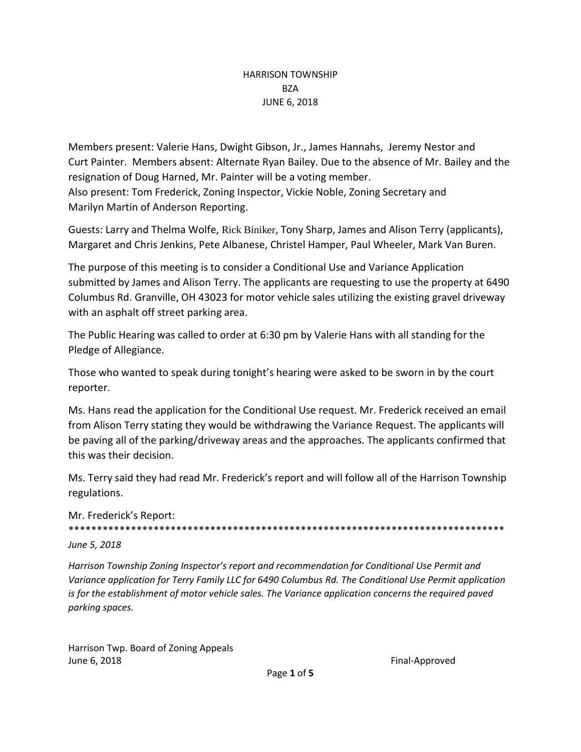# HARRISON TOWNSHIP **BZA** JUNE 6, 2018

Members present: Valerie Hans, Dwight Gibson, Jr., James Hannahs, Jeremy Nestor and Curt Painter. Members absent: Alternate Ryan Bailey. Due to the absence of Mr. Bailey and the resignation of Doug Harned, Mr. Painter will be a voting member. Also present: Tom Frederick, Zoning Inspector, Vickie Noble, Zoning Secretary and Marilyn Martin of Anderson Reporting.

Guests: Larry and Thelma Wolfe, Rick Biniker, Tony Sharp, James and Alison Terry (applicants), Margaret and Chris Jenkins, Pete Albanese, Christel Hamper, Paul Wheeler, Mark Van Buren.

The purpose of this meeting is to consider a Conditional Use and Variance Application submitted by James and Alison Terry. The applicants are requesting to use the property at 6490 Columbus Rd. Granville, OH 43023 for motor vehicle sales utilizing the existing gravel driveway with an asphalt off street parking area.

The Public Hearing was called to order at 6:30 pm by Valerie Hans with all standing for the Pledge of Allegiance.

Those who wanted to speak during tonight's hearing were asked to be sworn in by the court reporter.

Ms. Hans read the application for the Conditional Use request. Mr. Frederick received an email from Alison Terry stating they would be withdrawing the Variance Request. The applicants will be paving all of the parking/driveway areas and the approaches. The applicants confirmed that this was their decision.

Ms. Terry said they had read Mr. Frederick's report and will follow all of the Harrison Township regulations.

Mr. Frederick's Report: \*\*\*\*\*\*\*\*\*\*\*\*\*\*\*\*\*\*\*\*\*\*\*\*\*\*\*\*\*\*\*\*\*\*\*\*\*\*\*\*\*\*\*\*\*\*\*\*\*\*\*\*\*\*\*\*\*\*\*\*\*\*\*\*\*\*\*\*\*\*\*\*\*\*\*\*\*

*June 5, 2018* 

*Harrison Township Zoning Inspector's report and recommendation for Conditional Use Permit and Variance application for Terry Family LLC for 6490 Columbus Rd. The Conditional Use Permit application is for the establishment of motor vehicle sales. The Variance application concerns the required paved parking spaces.*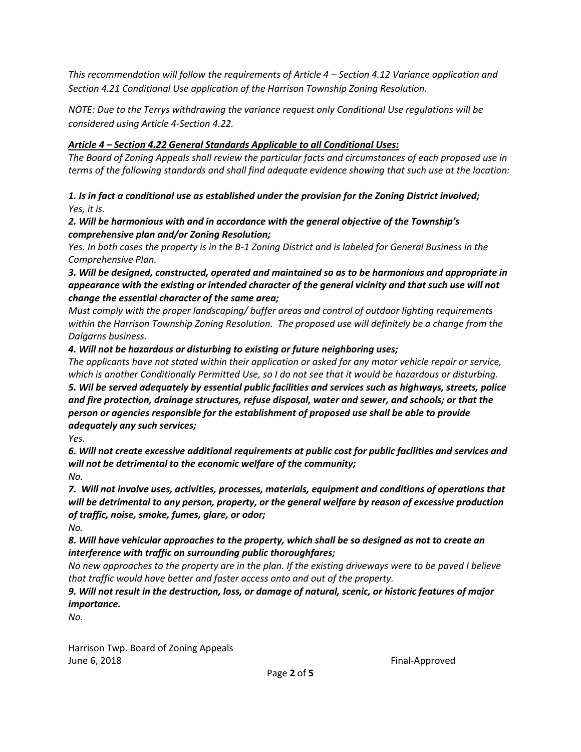*This recommendation will follow the requirements of Article 4 – Section 4.12 Variance application and Section 4.21 Conditional Use application of the Harrison Township Zoning Resolution.* 

*NOTE: Due to the Terrys withdrawing the variance request only Conditional Use regulations will be considered using Article 4-Section 4.22.*

# *Article 4 – Section 4.22 General Standards Applicable to all Conditional Uses:*

*The Board of Zoning Appeals shall review the particular facts and circumstances of each proposed use in terms of the following standards and shall find adequate evidence showing that such use at the location:* 

*1. Is in fact a conditional use as established under the provision for the Zoning District involved; Yes, it is.* 

#### *2. Will be harmonious with and in accordance with the general objective of the Township's comprehensive plan and/or Zoning Resolution;*

*Yes. In both cases the property is in the B-1 Zoning District and is labeled for General Business in the Comprehensive Plan.*

*3. Will be designed, constructed, operated and maintained so as to be harmonious and appropriate in appearance with the existing or intended character of the general vicinity and that such use will not change the essential character of the same area;*

*Must comply with the proper landscaping/ buffer areas and control of outdoor lighting requirements within the Harrison Township Zoning Resolution. The proposed use will definitely be a change from the Dalgarns business.* 

*4. Will not be hazardous or disturbing to existing or future neighboring uses;* 

*The applicants have not stated within their application or asked for any motor vehicle repair or service, which is another Conditionally Permitted Use, so I do not see that it would be hazardous or disturbing. 5. Wil be served adequately by essential public facilities and services such as highways, streets, police and fire protection, drainage structures, refuse disposal, water and sewer, and schools; or that the person or agencies responsible for the establishment of proposed use shall be able to provide adequately any such services;* 

*Yes.* 

*6. Will not create excessive additional requirements at public cost for public facilities and services and will not be detrimental to the economic welfare of the community; No.* 

*7. Will not involve uses, activities, processes, materials, equipment and conditions of operations that will be detrimental to any person, property, or the general welfare by reason of excessive production of traffic, noise, smoke, fumes, glare, or odor;*

*No.* 

*8. Will have vehicular approaches to the property, which shall be so designed as not to create an interference with traffic on surrounding public thoroughfares;*

*No new approaches to the property are in the plan. If the existing driveways were to be paved I believe that traffic would have better and faster access onto and out of the property.*

*9. Will not result in the destruction, loss, or damage of natural, scenic, or historic features of major importance.*

*No.*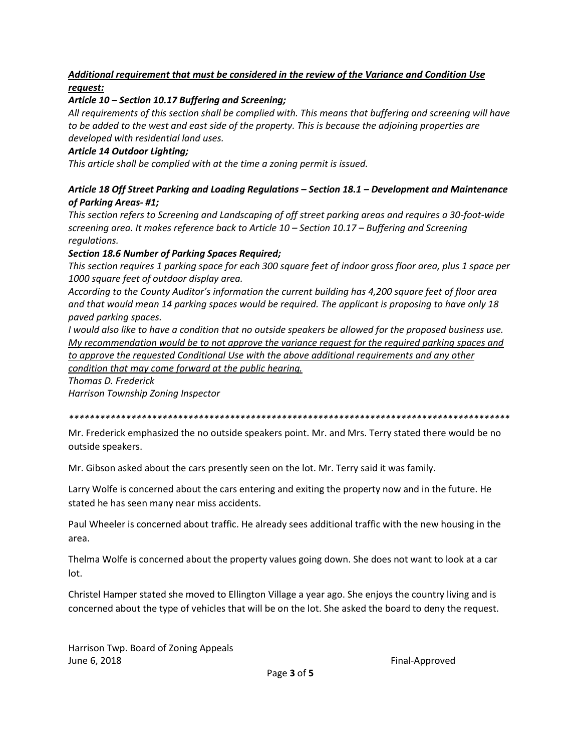# *Additional requirement that must be considered in the review of the Variance and Condition Use request:*

### *Article 10 – Section 10.17 Buffering and Screening;*

*All requirements of this section shall be complied with. This means that buffering and screening will have to be added to the west and east side of the property. This is because the adjoining properties are developed with residential land uses.* 

#### *Article 14 Outdoor Lighting;*

*This article shall be complied with at the time a zoning permit is issued.*

### *Article 18 Off Street Parking and Loading Regulations – Section 18.1 – Development and Maintenance of Parking Areas- #1;*

*This section refers to Screening and Landscaping of off street parking areas and requires a 30-foot-wide screening area. It makes reference back to Article 10 – Section 10.17 – Buffering and Screening regulations.*

### *Section 18.6 Number of Parking Spaces Required;*

*This section requires 1 parking space for each 300 square feet of indoor gross floor area, plus 1 space per 1000 square feet of outdoor display area.* 

*According to the County Auditor's information the current building has 4,200 square feet of floor area and that would mean 14 parking spaces would be required. The applicant is proposing to have only 18 paved parking spaces.* 

*I would also like to have a condition that no outside speakers be allowed for the proposed business use. My recommendation would be to not approve the variance request for the required parking spaces and to approve the requested Conditional Use with the above additional requirements and any other condition that may come forward at the public hearing.* 

*Thomas D. Frederick*

*Harrison Township Zoning Inspector*

*\*\*\*\*\*\*\*\*\*\*\*\*\*\*\*\*\*\*\*\*\*\*\*\*\*\*\*\*\*\*\*\*\*\*\*\*\*\*\*\*\*\*\*\*\*\*\*\*\*\*\*\*\*\*\*\*\*\*\*\*\*\*\*\*\*\*\*\*\*\*\*\*\*\*\*\*\*\*\*\*\*\*\*\*\**

Mr. Frederick emphasized the no outside speakers point. Mr. and Mrs. Terry stated there would be no outside speakers.

Mr. Gibson asked about the cars presently seen on the lot. Mr. Terry said it was family.

Larry Wolfe is concerned about the cars entering and exiting the property now and in the future. He stated he has seen many near miss accidents.

Paul Wheeler is concerned about traffic. He already sees additional traffic with the new housing in the area.

Thelma Wolfe is concerned about the property values going down. She does not want to look at a car lot.

Christel Hamper stated she moved to Ellington Village a year ago. She enjoys the country living and is concerned about the type of vehicles that will be on the lot. She asked the board to deny the request.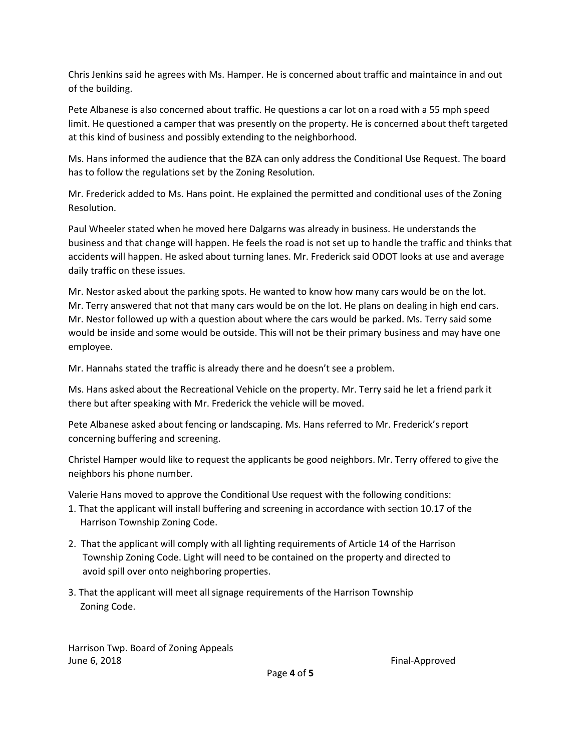Chris Jenkins said he agrees with Ms. Hamper. He is concerned about traffic and maintaince in and out of the building.

Pete Albanese is also concerned about traffic. He questions a car lot on a road with a 55 mph speed limit. He questioned a camper that was presently on the property. He is concerned about theft targeted at this kind of business and possibly extending to the neighborhood.

Ms. Hans informed the audience that the BZA can only address the Conditional Use Request. The board has to follow the regulations set by the Zoning Resolution.

Mr. Frederick added to Ms. Hans point. He explained the permitted and conditional uses of the Zoning Resolution.

Paul Wheeler stated when he moved here Dalgarns was already in business. He understands the business and that change will happen. He feels the road is not set up to handle the traffic and thinks that accidents will happen. He asked about turning lanes. Mr. Frederick said ODOT looks at use and average daily traffic on these issues.

Mr. Nestor asked about the parking spots. He wanted to know how many cars would be on the lot. Mr. Terry answered that not that many cars would be on the lot. He plans on dealing in high end cars. Mr. Nestor followed up with a question about where the cars would be parked. Ms. Terry said some would be inside and some would be outside. This will not be their primary business and may have one employee.

Mr. Hannahs stated the traffic is already there and he doesn't see a problem.

Ms. Hans asked about the Recreational Vehicle on the property. Mr. Terry said he let a friend park it there but after speaking with Mr. Frederick the vehicle will be moved.

Pete Albanese asked about fencing or landscaping. Ms. Hans referred to Mr. Frederick's report concerning buffering and screening.

Christel Hamper would like to request the applicants be good neighbors. Mr. Terry offered to give the neighbors his phone number.

Valerie Hans moved to approve the Conditional Use request with the following conditions:

- 1. That the applicant will install buffering and screening in accordance with section 10.17 of the Harrison Township Zoning Code.
- 2. That the applicant will comply with all lighting requirements of Article 14 of the Harrison Township Zoning Code. Light will need to be contained on the property and directed to avoid spill over onto neighboring properties.
- 3. That the applicant will meet all signage requirements of the Harrison Township Zoning Code.